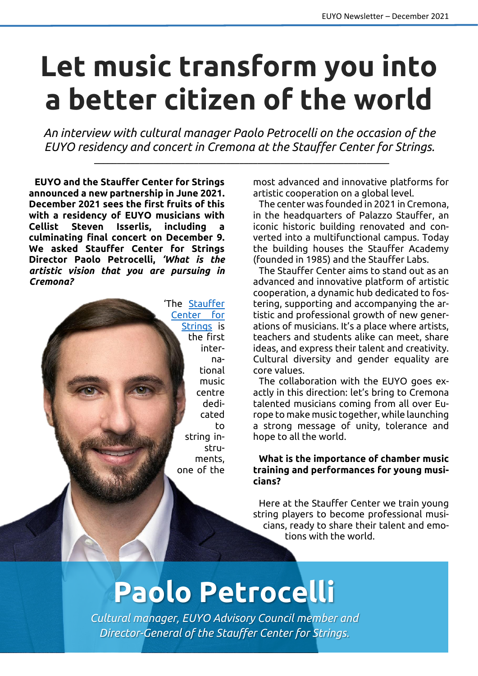## **Let music transform you into a better citizen of the world**

*An interview with cultural manager Paolo Petrocelli on the occasion of the EUYO residency and concert in Cremona at the Stauffer Center for Strings.*

\_\_\_\_\_\_\_\_\_\_\_\_\_\_\_\_\_\_\_\_\_\_\_\_\_\_\_\_\_\_\_\_\_\_\_\_\_\_\_\_\_\_\_\_\_\_\_\_\_\_\_\_\_\_\_\_\_\_\_\_\_\_\_\_\_

**EUYO and the Stauffer Center for Strings announced a new partnership in June 2021. December 2021 sees the first fruits of this with a residency of EUYO musicians with Cellist Steven Isserlis, including a culminating final concert on December 9. We asked Stauffer Center for Strings Director Paolo Petrocelli,** *'What is the artistic vision that you are pursuing in Cremona?*



most advanced and innovative platforms for artistic cooperation on a global level.

The center was founded in 2021 in Cremona, in the headquarters of Palazzo Stauffer, an iconic historic building renovated and converted into a multifunctional campus. Today the building houses the Stauffer Academy (founded in 1985) and the Stauffer Labs.

The Stauffer Center aims to stand out as an advanced and innovative platform of artistic cooperation, a dynamic hub dedicated to fostering, supporting and accompanying the artistic and professional growth of new generations of musicians. It's a place where artists, teachers and students alike can meet, share ideas, and express their talent and creativity. Cultural diversity and gender equality are core values.

The collaboration with the EUYO goes exactly in this direction: let's bring to Cremona talented musicians coming from all over Europe to make music together, while launching a strong message of unity, tolerance and hope to all the world.

## **What is the importance of chamber music training and performances for young musicians?**

Here at the Stauffer Center we train young string players to become professional musicians, ready to share their talent and emotions with the world.

## **Paolo Petrocelli**

*Cultural manager, EUYO Advisory Council member and Director-General of the Stauffer Center for Strings.*